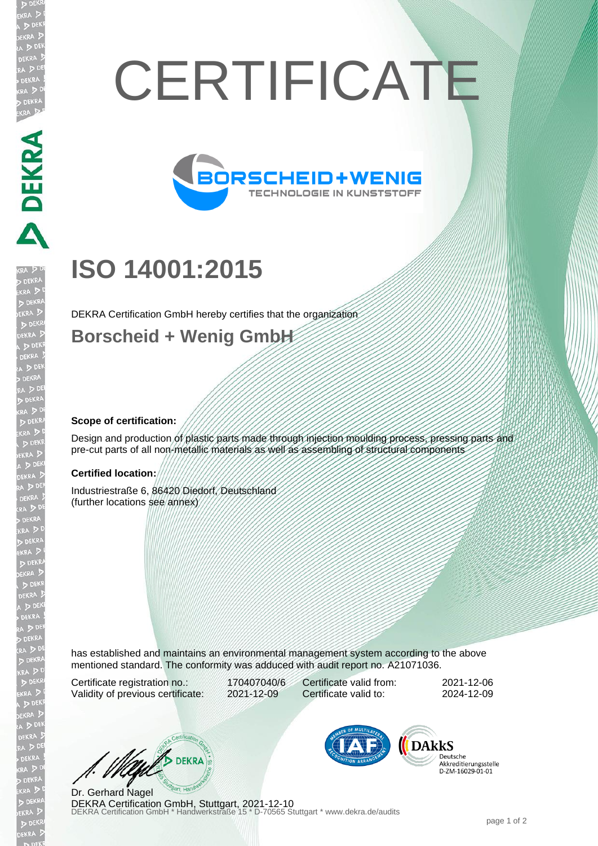# **CERTIFICATE**



# **ISO 14001:2015**

DEKRA Certification GmbH hereby certifies that the organization

### **Borscheid + Wenig GmbH**

#### **Scope of certification:**

PEKRA PEKRA

JEKR

Design and production of plastic parts made through injection moulding process, pressing parts and pre-cut parts of all non-metallic materials as well as assembling of structural components

#### **Certified location:**

Industriestraße 6, 86420 Diedorf, Deutschland (further locations see annex)

has established and maintains an environmental management system according to the above mentioned standard. The conformity was adduced with audit report no. A21071036.

Certificate registration no.: 170407040/6 Validity of previous certificate: 2021-12-09

Certificate valid from: 2021-12-06 Certificate valid to: 2024-12-09

West DEKRA

**DEKRA Certification GmbH, Stuttgart, 2021-12-10**<br>DEKRA Certification GmbH \* Handwerkstraße 15 \* D-70565 Stuttgart \* www.dekra.de/audits Dr. Gerhard Nagel



Deutsche Akkreditierungsstelle D-ZM-16029-01-01